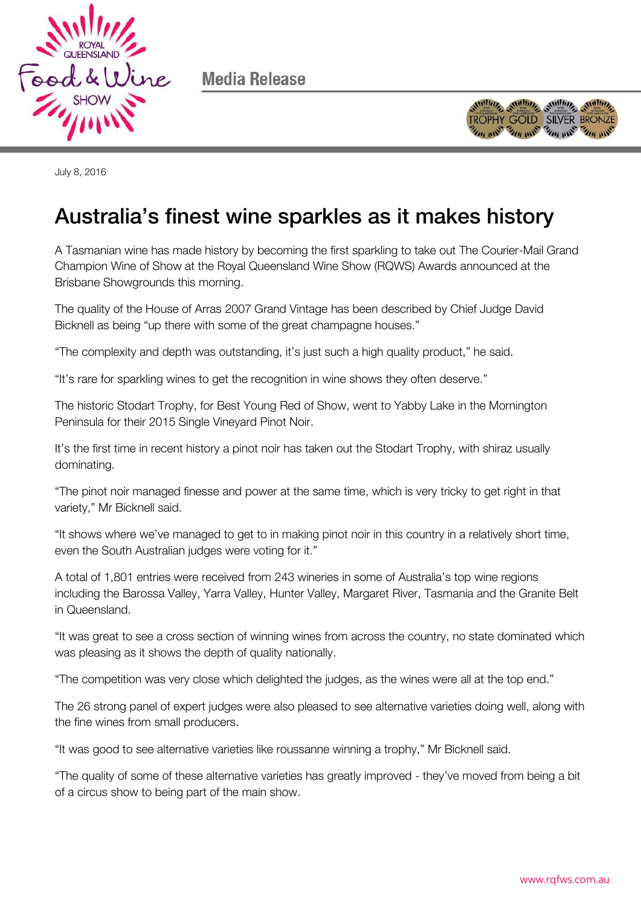



July 8, 2016

# Australia's finest wine sparkles as it makes history

A Tasmanian wine has made history by becoming the first sparkling to take out The Courier-Mail Grand Champion Wine of Show at the Royal Queensland Wine Show (RQWS) Awards announced at the Brisbane Showgrounds this morning.

The quality of the House of Arras 2007 Grand Vintage has been described by Chief Judge David Bicknell as being "up there with some of the great champagne houses."

"The complexity and depth was outstanding, it's just such a high quality product," he said.

"It's rare for sparkling wines to get the recognition in wine shows they often deserve."

The historic Stodart Trophy, for Best Young Red of Show, went to Yabby Lake in the Mornington Peninsula for their 2015 Single Vineyard Pinot Noir.

It's the first time in recent history a pinot noir has taken out the Stodart Trophy, with shiraz usually dominating.

"The pinot noir managed finesse and power at the same time, which is very tricky to get right in that variety," Mr Bicknell said.

"It shows where we've managed to get to in making pinot noir in this country in a relatively short time, even the South Australian judges were voting for it."

A total of 1,801 entries were received from 243 wineries in some of Australia's top wine regions including the Barossa Valley, Yarra Valley, Hunter Valley, Margaret River, Tasmania and the Granite Belt in Queensland.

"It was great to see a cross section of winning wines from across the country, no state dominated which was pleasing as it shows the depth of quality nationally.

"The competition was very close which delighted the judges, as the wines were all at the top end."

The 26 strong panel of expert judges were also pleased to see alternative varieties doing well, along with the fine wines from small producers.

"It was good to see alternative varieties like roussanne winning a trophy," Mr Bicknell said.

"The quality of some of these alternative varieties has greatly improved - they've moved from being a bit of a circus show to being part of the main show.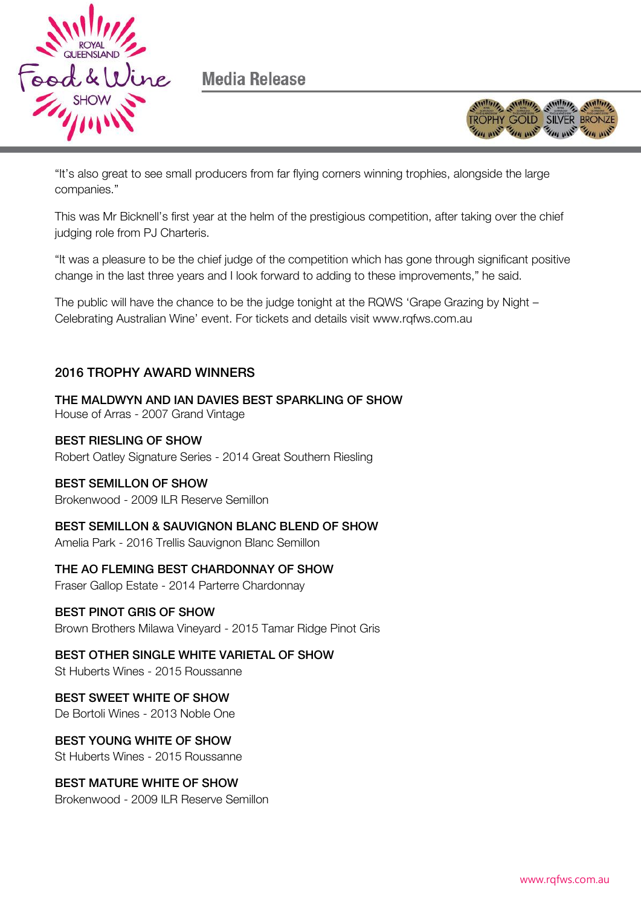



"It's also great to see small producers from far flying corners winning trophies, alongside the large companies."

This was Mr Bicknell's first year at the helm of the prestigious competition, after taking over the chief judging role from PJ Charteris.

"It was a pleasure to be the chief judge of the competition which has gone through significant positive change in the last three years and I look forward to adding to these improvements," he said.

The public will have the chance to be the judge tonight at the RQWS 'Grape Grazing by Night – Celebrating Australian Wine' event. For tickets and details visit www.rqfws.com.au

## **2016 TROPHY AWARD WINNERS** 2016 TROPHY AWARD WINNERS

THE MALDWYN AND IAN DAVIES BEST SPARKLING OF SHOW House of Arras - 2007 Grand Vintage

Robert Oatley Signature Series - 2014 Great Southern Riesling

BEST SEMILLON OF SHOW Brokenwood - 2009 ILR Reserve Semillon

BEST SEMILLON & SAUVIGNON BLANC BLEND OF SHOW Amelia Park - 2016 Trellis Sauvignon Blanc Semillon

THE AO FLEMING BEST CHARD CHARD OF SHOW<br>Fraser Gallop Estate - 2014 Parterre Chardonnay

BEST PINOT GRIS OF SHOW Brown Brothers Milawa Vineyard - 2015 Tamar Ridge Pinot Gris

## **BEST OTHER SINGLE WHITE VARIETAL OF SHOW**

St Huberts Wines - 2015 Roussanne

## **BEST SWEET WHITE OF SHOW**

De Bortoli Wines - 2013 Noble One

## **BEST YOUNG WHITE OF SHOW**

St Huberts Wines - 2015 Roussanne

## **BEST MATURE WHITE OF SHOW**

Brokenwood - 2009 ILR Reserve Semillon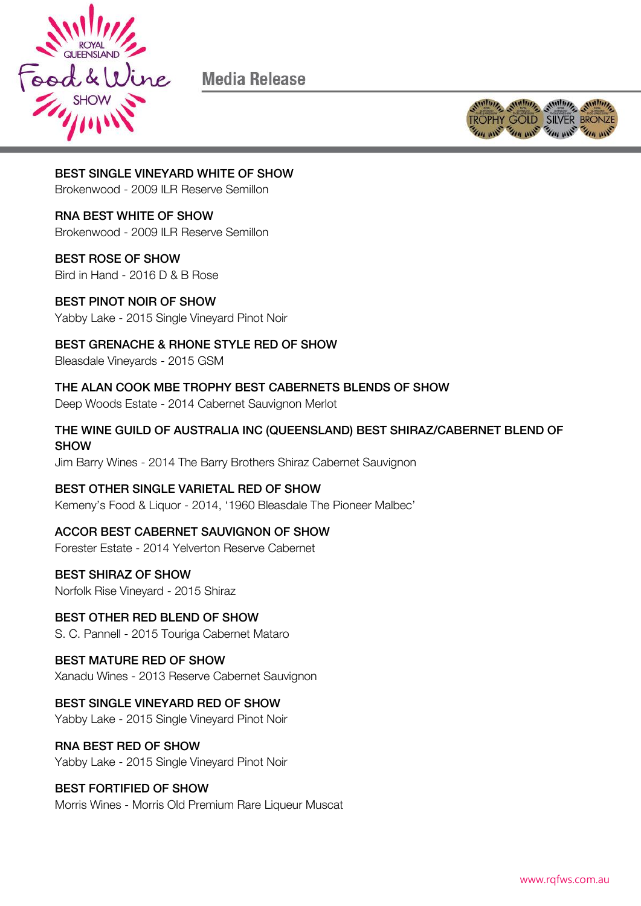



**REST SINGLE VINEYARD WHITE OF SHOW** 

BEST SINGLE VINEYARD WHITE OF SHOW Brokenwood - 2009 ILR Reserve Semillon

## **RNA BEST WHITE OF SHOW**

RNA BEST WHITE OF SHOW Brokenwood - 2009 ILR Reserve Semillon

## **BEST ROSE OF SHOW**

BEST ROSE OF SHOW Bird in Hand - 2016 D & B Rose

## **BEST PINOT NOIR OF SHOW** BEST PINOT NOIR OF SHOW Yabby Lake - 2015 Single Vineyard Pinot Noir

Bleasdale Vineyards - 2015 GSM

Deep Woods Estate - 2014 Cabernet Sauvignon Merlot

## THE WINE GUILD OF AUSTRALIA INC. AUSTRALIA INC. AUSTRALIA INC. AUSTRALIA INC. AUSTRALIA INC. AUSTRALIA INC. AU<br>September

Jim Barry Wines - 2014 The Barry Brothers Shiraz Cabernet Sauvignon

Kemeny's Food & Liquor - 2014, '1960 Bleasdale The Pioneer Malbec'

## ACCOR BEST CABERNET SAUVIGNON OF SHOW

Forester Estate - 2014 Yelverton Reserve Cabernet

Norfolk Rise Vineyard - 2015 Shiraz

S. C. Pannell - 2015 Touriga Cabernet Mataro

BEST MATURE RED OF SHOW Xanadu Wines - 2013 Reserve Cabernet Sauvignon

## BEST SINGLE VINEYARD RED OF SHOW

BEST SINGLE VINEYARD RED OF SHOW Yabby Lake - 2015 Single Vineyard Pinot Noir

wa de edigmentale of stream<br>Yabby Lake - 2015 Single Vineyard Pinot Noir

BEST FORTIFIED OF SHOW Morris Wines - Morris Old Premium Rare Liqueur Muscat